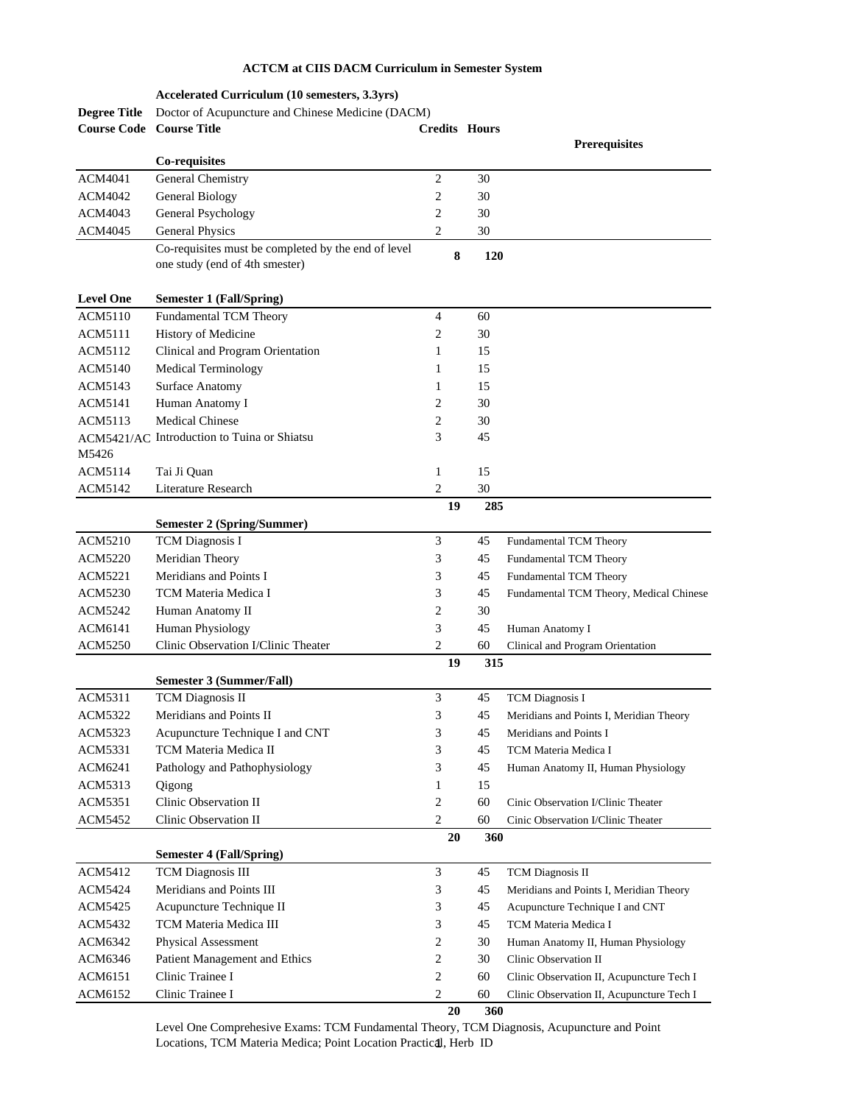## **ACTCM at CIIS DACM Curriculum in Semester System**

|                     | Accelerated Curriculum (10 semesters, 3.3yrs)                                         |                         |     |                                           |
|---------------------|---------------------------------------------------------------------------------------|-------------------------|-----|-------------------------------------------|
| <b>Degree Title</b> | Doctor of Acupuncture and Chinese Medicine (DACM)                                     |                         |     |                                           |
| <b>Course Code</b>  | <b>Course Title</b>                                                                   | <b>Credits Hours</b>    |     |                                           |
|                     |                                                                                       |                         |     | <b>Prerequisites</b>                      |
|                     | Co-requisites                                                                         |                         |     |                                           |
| <b>ACM4041</b>      | General Chemistry                                                                     | $\mathfrak{2}$          | 30  |                                           |
| ACM4042             | General Biology                                                                       | 2                       | 30  |                                           |
| ACM4043             | General Psychology                                                                    | 2                       | 30  |                                           |
| ACM4045             | <b>General Physics</b>                                                                | 2                       | 30  |                                           |
|                     | Co-requisites must be completed by the end of level<br>one study (end of 4th smester) | 8                       | 120 |                                           |
| <b>Level One</b>    | <b>Semester 1 (Fall/Spring)</b>                                                       |                         |     |                                           |
| <b>ACM5110</b>      | Fundamental TCM Theory                                                                | $\overline{4}$          | 60  |                                           |
| <b>ACM5111</b>      | History of Medicine                                                                   | 2                       | 30  |                                           |
| ACM5112             | Clinical and Program Orientation                                                      | 1                       | 15  |                                           |
| ACM5140             | <b>Medical Terminology</b>                                                            | 1                       | 15  |                                           |
| ACM5143             |                                                                                       | 1                       | 15  |                                           |
|                     | <b>Surface Anatomy</b>                                                                |                         |     |                                           |
| ACM5141             | Human Anatomy I                                                                       | 2                       | 30  |                                           |
| ACM5113             | <b>Medical Chinese</b>                                                                | 2                       | 30  |                                           |
| M5426               | ACM5421/AC Introduction to Tuina or Shiatsu                                           | 3                       | 45  |                                           |
| ACM5114             | Tai Ji Quan                                                                           | 1                       | 15  |                                           |
| ACM5142             | <b>Literature Research</b>                                                            | 2                       | 30  |                                           |
|                     |                                                                                       | 19                      | 285 |                                           |
|                     | <b>Semester 2 (Spring/Summer)</b>                                                     |                         |     |                                           |
| <b>ACM5210</b>      | <b>TCM</b> Diagnosis I                                                                | 3                       | 45  | Fundamental TCM Theory                    |
| ACM5220             | Meridian Theory                                                                       | 3                       | 45  | Fundamental TCM Theory                    |
| ACM5221             | Meridians and Points I                                                                | 3                       | 45  | Fundamental TCM Theory                    |
| ACM5230             | TCM Materia Medica I                                                                  | 3                       | 45  | Fundamental TCM Theory, Medical Chinese   |
| ACM5242             | Human Anatomy II                                                                      | 2                       | 30  |                                           |
| ACM6141             | Human Physiology                                                                      | 3                       | 45  | Human Anatomy I                           |
| <b>ACM5250</b>      | Clinic Observation I/Clinic Theater                                                   | 2                       | 60  | Clinical and Program Orientation          |
|                     |                                                                                       | 19                      | 315 |                                           |
|                     | Semester 3 (Summer/Fall)                                                              |                         |     |                                           |
| ACM5311             | <b>TCM</b> Diagnosis II                                                               | 3                       | 45  | <b>TCM</b> Diagnosis I                    |
| <b>ACM5322</b>      | Meridians and Points II                                                               | 3                       | 45  | Meridians and Points I, Meridian Theory   |
| ACM5323             | Acupuncture Technique I and CNT                                                       | 3                       | 45  | Meridians and Points I                    |
| ACM5331             | TCM Materia Medica II                                                                 | 3                       | 45  | TCM Materia Medica I                      |
| ACM6241             | Pathology and Pathophysiology                                                         | 3                       | 45  | Human Anatomy II, Human Physiology        |
| ACM5313             | Qigong                                                                                | 1                       | 15  |                                           |
| ACM5351             | Clinic Observation II                                                                 | 2                       | 60  | Cinic Observation I/Clinic Theater        |
| <b>ACM5452</b>      | Clinic Observation II                                                                 | 2                       | 60  | Cinic Observation I/Clinic Theater        |
|                     |                                                                                       | 20                      | 360 |                                           |
|                     | <b>Semester 4 (Fall/Spring)</b>                                                       |                         |     |                                           |
| ACM5412             | <b>TCM Diagnosis III</b>                                                              | 3                       | 45  | <b>TCM Diagnosis II</b>                   |
| <b>ACM5424</b>      | Meridians and Points III                                                              | 3                       | 45  | Meridians and Points I, Meridian Theory   |
| ACM5425             | Acupuncture Technique II                                                              | 3                       | 45  | Acupuncture Technique I and CNT           |
| ACM5432             | TCM Materia Medica III                                                                | 3                       | 45  | TCM Materia Medica I                      |
| ACM6342             | Physical Assessment                                                                   | 2                       | 30  | Human Anatomy II, Human Physiology        |
| ACM6346             | Patient Management and Ethics                                                         | 2                       | 30  | Clinic Observation II                     |
| ACM6151             | Clinic Trainee I                                                                      | 2                       | 60  | Clinic Observation II, Acupuncture Tech I |
| ACM6152             | Clinic Trainee I                                                                      | $\overline{\mathbf{c}}$ | 60  | Clinic Observation II, Acupuncture Tech I |
|                     |                                                                                       | 20                      | 360 |                                           |

Level One Comprehesive Exams: TCM Fundamental Theory, TCM Diagnosis, Acupuncture and Point Locations, TCM Materia Medica; Point Location Practical, Herb ID 1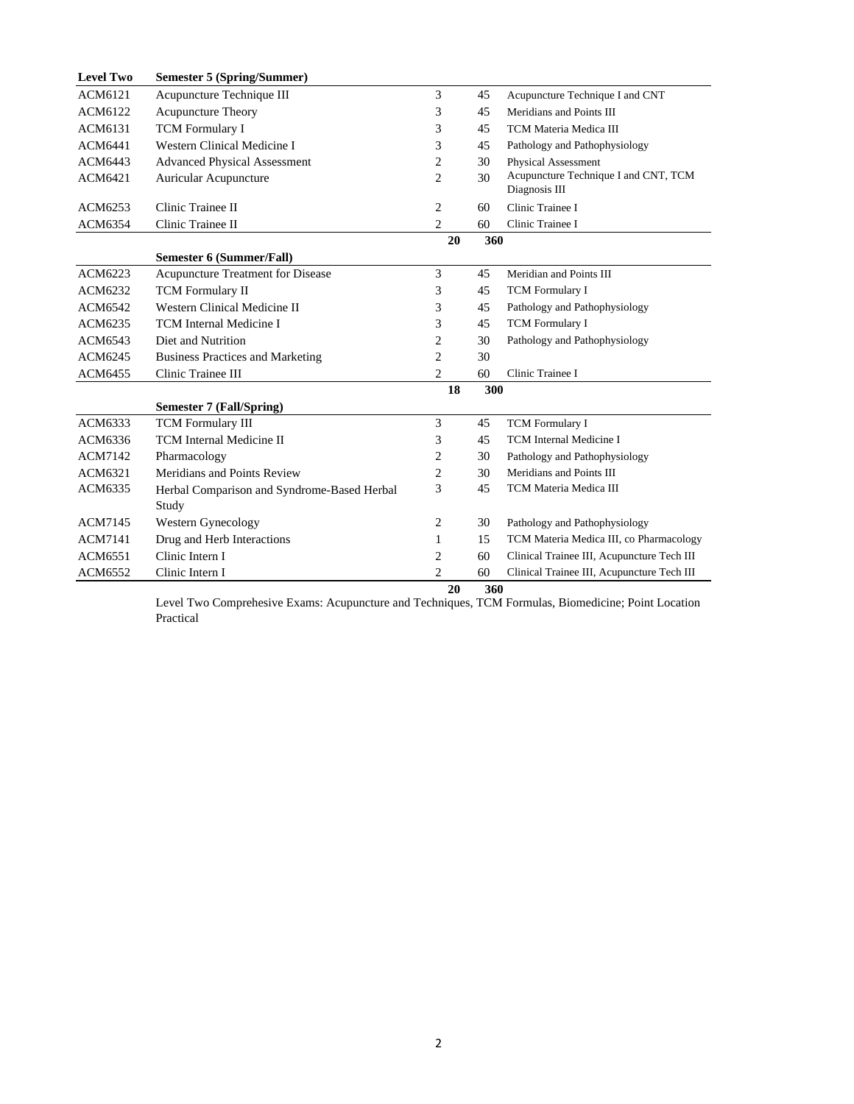| <b>Level Two</b> | <b>Semester 5 (Spring/Summer)</b>           |                         |     |                                            |  |
|------------------|---------------------------------------------|-------------------------|-----|--------------------------------------------|--|
| ACM6121          | Acupuncture Technique III                   | 3                       | 45  | Acupuncture Technique I and CNT            |  |
| ACM6122          | <b>Acupuncture Theory</b>                   | 3                       | 45  | Meridians and Points III                   |  |
| ACM6131          | <b>TCM</b> Formulary I                      | 3                       | 45  | TCM Materia Medica III                     |  |
| ACM6441          | Western Clinical Medicine I                 | 3                       | 45  | Pathology and Pathophysiology              |  |
| ACM6443          | <b>Advanced Physical Assessment</b>         | $\overline{\mathbf{c}}$ | 30  | <b>Physical Assessment</b>                 |  |
| ACM6421          | Auricular Acupuncture                       | $\overline{c}$          | 30  | Acupuncture Technique I and CNT, TCM       |  |
|                  |                                             |                         |     | Diagnosis III                              |  |
| ACM6253          | Clinic Trainee II                           | $\mathfrak{2}$          | 60  | Clinic Trainee I                           |  |
| ACM6354          | Clinic Trainee II                           | $\overline{c}$          | 60  | Clinic Trainee I                           |  |
|                  |                                             | 20                      | 360 |                                            |  |
|                  | Semester 6 (Summer/Fall)                    |                         |     |                                            |  |
| ACM6223          | Acupuncture Treatment for Disease           | 3                       | 45  | Meridian and Points III                    |  |
| ACM6232          | <b>TCM</b> Formulary II                     | 3                       | 45  | <b>TCM</b> Formulary I                     |  |
| ACM6542          | Western Clinical Medicine II                | 3                       | 45  | Pathology and Pathophysiology              |  |
| ACM6235          | <b>TCM</b> Internal Medicine I              | 3                       | 45  | <b>TCM Formulary I</b>                     |  |
| ACM6543          | Diet and Nutrition                          | $\overline{c}$          | 30  | Pathology and Pathophysiology              |  |
| ACM6245          | <b>Business Practices and Marketing</b>     | 2                       | 30  |                                            |  |
| ACM6455          | Clinic Trainee III                          | 2                       | 60  | Clinic Trainee I                           |  |
|                  |                                             | 18                      | 300 |                                            |  |
|                  | <b>Semester 7 (Fall/Spring)</b>             |                         |     |                                            |  |
| ACM6333          | <b>TCM</b> Formulary III                    | 3                       | 45  | <b>TCM Formulary I</b>                     |  |
| ACM6336          | <b>TCM</b> Internal Medicine II             | 3                       | 45  | <b>TCM</b> Internal Medicine I             |  |
| ACM7142          | Pharmacology                                | 2                       | 30  | Pathology and Pathophysiology              |  |
| ACM6321          | Meridians and Points Review                 | $\overline{c}$          | 30  | Meridians and Points III                   |  |
| ACM6335          | Herbal Comparison and Syndrome-Based Herbal | 3                       | 45  | TCM Materia Medica III                     |  |
|                  | Study                                       |                         |     |                                            |  |
| ACM7145          | Western Gynecology                          | 2                       | 30  | Pathology and Pathophysiology              |  |
| <b>ACM7141</b>   | Drug and Herb Interactions                  | 1                       | 15  | TCM Materia Medica III, co Pharmacology    |  |
| ACM6551          | Clinic Intern I                             | 2                       | 60  | Clinical Trainee III, Acupuncture Tech III |  |
| <b>ACM6552</b>   | Clinic Intern I                             | $\overline{2}$          | 60  | Clinical Trainee III, Acupuncture Tech III |  |
|                  |                                             | 20                      | 360 |                                            |  |

Level Two Comprehesive Exams: Acupuncture and Techniques, TCM Formulas, Biomedicine; Point Location Practical